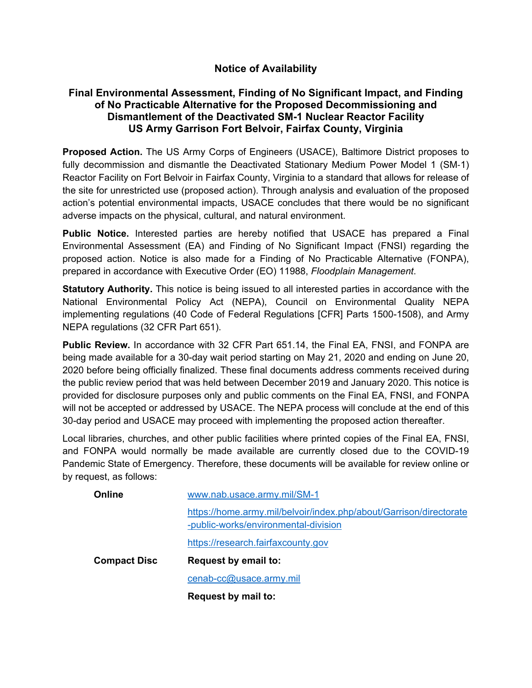## **Notice of Availability**

## **Final Environmental Assessment, Finding of No Significant Impact, and Finding of No Practicable Alternative for the Proposed Decommissioning and Dismantlement of the Deactivated SM-1 Nuclear Reactor Facility US Army Garrison Fort Belvoir, Fairfax County, Virginia**

**Proposed Action.** The US Army Corps of Engineers (USACE), Baltimore District proposes to fully decommission and dismantle the Deactivated Stationary Medium Power Model 1 (SM-1) Reactor Facility on Fort Belvoir in Fairfax County, Virginia to a standard that allows for release of the site for unrestricted use (proposed action). Through analysis and evaluation of the proposed action's potential environmental impacts, USACE concludes that there would be no significant adverse impacts on the physical, cultural, and natural environment.

**Public Notice.** Interested parties are hereby notified that USACE has prepared a Final Environmental Assessment (EA) and Finding of No Significant Impact (FNSI) regarding the proposed action. Notice is also made for a Finding of No Practicable Alternative (FONPA), prepared in accordance with Executive Order (EO) 11988, *Floodplain Management*.

**Statutory Authority.** This notice is being issued to all interested parties in accordance with the National Environmental Policy Act (NEPA), Council on Environmental Quality NEPA implementing regulations (40 Code of Federal Regulations [CFR] Parts 1500-1508), and Army NEPA regulations (32 CFR Part 651).

**Public Review.** In accordance with 32 CFR Part 651.14, the Final EA, FNSI, and FONPA are being made available for a 30-day wait period starting on May 21, 2020 and ending on June 20, 2020 before being officially finalized. These final documents address comments received during the public review period that was held between December 2019 and January 2020. This notice is provided for disclosure purposes only and public comments on the Final EA, FNSI, and FONPA will not be accepted or addressed by USACE. The NEPA process will conclude at the end of this 30-day period and USACE may proceed with implementing the proposed action thereafter.

Local libraries, churches, and other public facilities where printed copies of the Final EA, FNSI, and FONPA would normally be made available are currently closed due to the COVID-19 Pandemic State of Emergency. Therefore, these documents will be available for review online or by request, as follows:

| Online              | www.nab.usace.army.mil/SM-1                                                                                |
|---------------------|------------------------------------------------------------------------------------------------------------|
|                     | https://home.army.mil/belvoir/index.php/about/Garrison/directorate<br>-public-works/environmental-division |
|                     | https://research.fairfaxcounty.gov                                                                         |
| <b>Compact Disc</b> | <b>Request by email to:</b>                                                                                |
|                     | cenab-cc@usace.army.mil                                                                                    |
|                     | <b>Request by mail to:</b>                                                                                 |